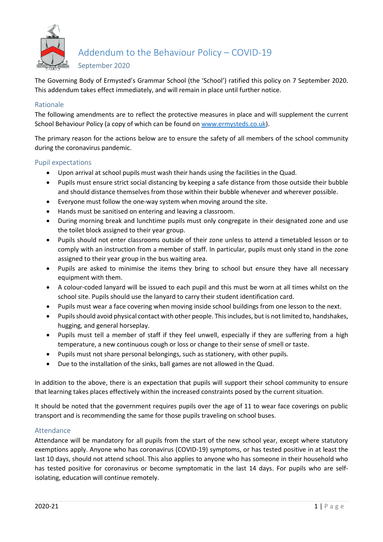

Addendum to the Behaviour Policy – COVID-19

September 2020

The Governing Body of Ermysted's Grammar School (the 'School') ratified this policy on 7 September 2020. This addendum takes effect immediately, and will remain in place until further notice.

## Rationale

The following amendments are to reflect the protective measures in place and will supplement the current School Behaviour Policy (a copy of which can be found on [www.ermysteds.co.uk\)](http://www.ermysteds.co.uk/).

The primary reason for the actions below are to ensure the safety of all members of the school community during the coronavirus pandemic.

# Pupil expectations

- Upon arrival at school pupils must wash their hands using the facilities in the Quad.
- Pupils must ensure strict social distancing by keeping a safe distance from those outside their bubble and should distance themselves from those within their bubble whenever and wherever possible.
- Everyone must follow the one-way system when moving around the site.
- Hands must be sanitised on entering and leaving a classroom.
- During morning break and lunchtime pupils must only congregate in their designated zone and use the toilet block assigned to their year group.
- Pupils should not enter classrooms outside of their zone unless to attend a timetabled lesson or to comply with an instruction from a member of staff. In particular, pupils must only stand in the zone assigned to their year group in the bus waiting area.
- Pupils are asked to minimise the items they bring to school but ensure they have all necessary equipment with them.
- A colour-coded lanyard will be issued to each pupil and this must be worn at all times whilst on the school site. Pupils should use the lanyard to carry their student identification card.
- Pupils must wear a face covering when moving inside school buildings from one lesson to the next.
- Pupils should avoid physical contact with other people. This includes, but is not limited to, handshakes, hugging, and general horseplay.
- Pupils must tell a member of staff if they feel unwell, especially if they are suffering from a high temperature, a new continuous cough or loss or change to their sense of smell or taste.
- Pupils must not share personal belongings, such as stationery, with other pupils.
- Due to the installation of the sinks, ball games are not allowed in the Quad.

In addition to the above, there is an expectation that pupils will support their school community to ensure that learning takes places effectively within the increased constraints posed by the current situation.

It should be noted that the government requires pupils over the age of 11 to wear face coverings on public transport and is recommending the same for those pupils traveling on school buses.

### Attendance

Attendance will be mandatory for all pupils from the start of the new school year, except where statutory exemptions apply. Anyone who has coronavirus (COVID-19) symptoms, or has tested positive in at least the last 10 days, should not attend school. This also applies to anyone who has someone in their household who has tested positive for coronavirus or become symptomatic in the last 14 days. For pupils who are selfisolating, education will continue remotely.